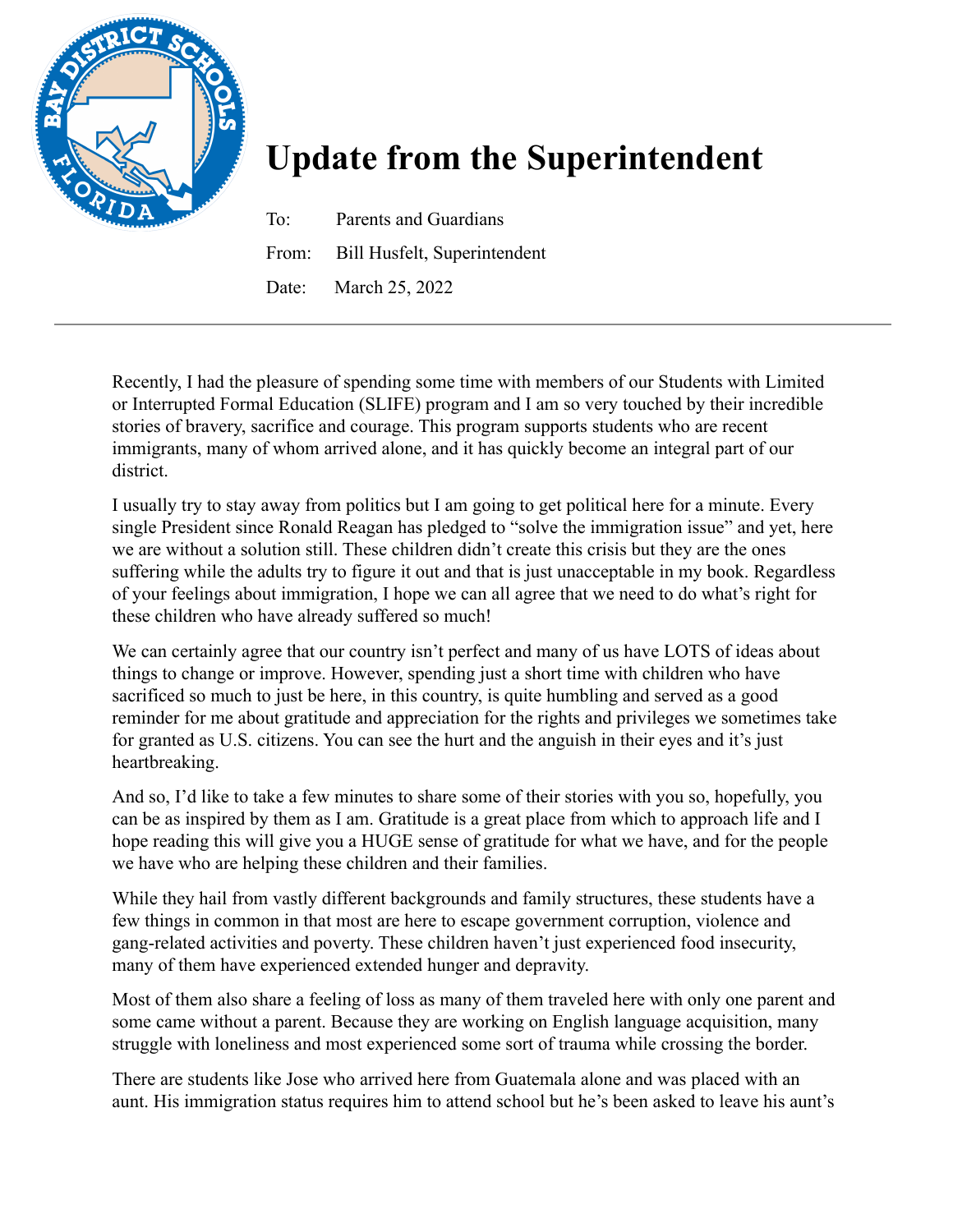

## **Update from the Superintendent**

To: Parents and Guardians From: Bill Husfelt, Superintendent Date: March 25, 2022

Recently, I had the pleasure of spending some time with members of our Students with Limited or Interrupted Formal Education (SLIFE) program and I am so very touched by their incredible stories of bravery, sacrifice and courage. This program supports students who are recent immigrants, many of whom arrived alone, and it has quickly become an integral part of our district.

I usually try to stay away from politics but I am going to get political here for a minute. Every single President since Ronald Reagan has pledged to "solve the immigration issue" and yet, here we are without a solution still. These children didn't create this crisis but they are the ones suffering while the adults try to figure it out and that is just unacceptable in my book. Regardless of your feelings about immigration, I hope we can all agree that we need to do what's right for these children who have already suffered so much!

We can certainly agree that our country isn't perfect and many of us have LOTS of ideas about things to change or improve. However, spending just a short time with children who have sacrificed so much to just be here, in this country, is quite humbling and served as a good reminder for me about gratitude and appreciation for the rights and privileges we sometimes take for granted as U.S. citizens. You can see the hurt and the anguish in their eyes and it's just heartbreaking.

And so, I'd like to take a few minutes to share some of their stories with you so, hopefully, you can be as inspired by them as I am. Gratitude is a great place from which to approach life and I hope reading this will give you a HUGE sense of gratitude for what we have, and for the people we have who are helping these children and their families.

While they hail from vastly different backgrounds and family structures, these students have a few things in common in that most are here to escape government corruption, violence and gang-related activities and poverty. These children haven't just experienced food insecurity, many of them have experienced extended hunger and depravity.

Most of them also share a feeling of loss as many of them traveled here with only one parent and some came without a parent. Because they are working on English language acquisition, many struggle with loneliness and most experienced some sort of trauma while crossing the border.

There are students like Jose who arrived here from Guatemala alone and was placed with an aunt. His immigration status requires him to attend school but he's been asked to leave his aunt's